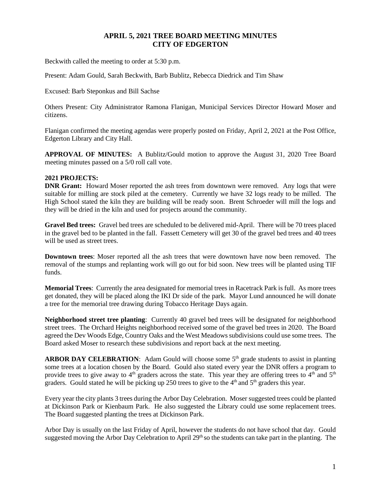## **APRIL 5, 2021 TREE BOARD MEETING MINUTES CITY OF EDGERTON**

Beckwith called the meeting to order at 5:30 p.m.

Present: Adam Gould, Sarah Beckwith, Barb Bublitz, Rebecca Diedrick and Tim Shaw

Excused: Barb Steponkus and Bill Sachse

Others Present: City Administrator Ramona Flanigan, Municipal Services Director Howard Moser and citizens.

Flanigan confirmed the meeting agendas were properly posted on Friday, April 2, 2021 at the Post Office, Edgerton Library and City Hall.

**APPROVAL OF MINUTES:** A Bublitz/Gould motion to approve the August 31, 2020 Tree Board meeting minutes passed on a 5/0 roll call vote.

## **2021 PROJECTS:**

**DNR Grant:** Howard Moser reported the ash trees from downtown were removed. Any logs that were suitable for milling are stock piled at the cemetery. Currently we have 32 logs ready to be milled. The High School stated the kiln they are building will be ready soon. Brent Schroeder will mill the logs and they will be dried in the kiln and used for projects around the community.

**Gravel Bed trees:** Gravel bed trees are scheduled to be delivered mid-April. There will be 70 trees placed in the gravel bed to be planted in the fall. Fassett Cemetery will get 30 of the gravel bed trees and 40 trees will be used as street trees.

**Downtown trees**: Moser reported all the ash trees that were downtown have now been removed. The removal of the stumps and replanting work will go out for bid soon. New trees will be planted using TIF funds.

**Memorial Trees**: Currently the area designated for memorial trees in Racetrack Park is full. As more trees get donated, they will be placed along the IKI Dr side of the park. Mayor Lund announced he will donate a tree for the memorial tree drawing during Tobacco Heritage Days again.

**Neighborhood street tree planting**: Currently 40 gravel bed trees will be designated for neighborhood street trees. The Orchard Heights neighborhood received some of the gravel bed trees in 2020. The Board agreed the Dev Woods Edge, Country Oaks and the West Meadows subdivisions could use some trees. The Board asked Moser to research these subdivisions and report back at the next meeting.

ARBOR DAY CELEBRATION: Adam Gould will choose some 5<sup>th</sup> grade students to assist in planting some trees at a location chosen by the Board. Gould also stated every year the DNR offers a program to provide trees to give away to 4<sup>th</sup> graders across the state. This year they are offering trees to 4<sup>th</sup> and 5<sup>th</sup> graders. Gould stated he will be picking up 250 trees to give to the  $4<sup>th</sup>$  and  $5<sup>th</sup>$  graders this year.

Every year the city plants 3 trees during the Arbor Day Celebration. Moser suggested trees could be planted at Dickinson Park or Kienbaum Park. He also suggested the Library could use some replacement trees. The Board suggested planting the trees at Dickinson Park.

Arbor Day is usually on the last Friday of April, however the students do not have school that day. Gould suggested moving the Arbor Day Celebration to April 29<sup>th</sup> so the students can take part in the planting. The